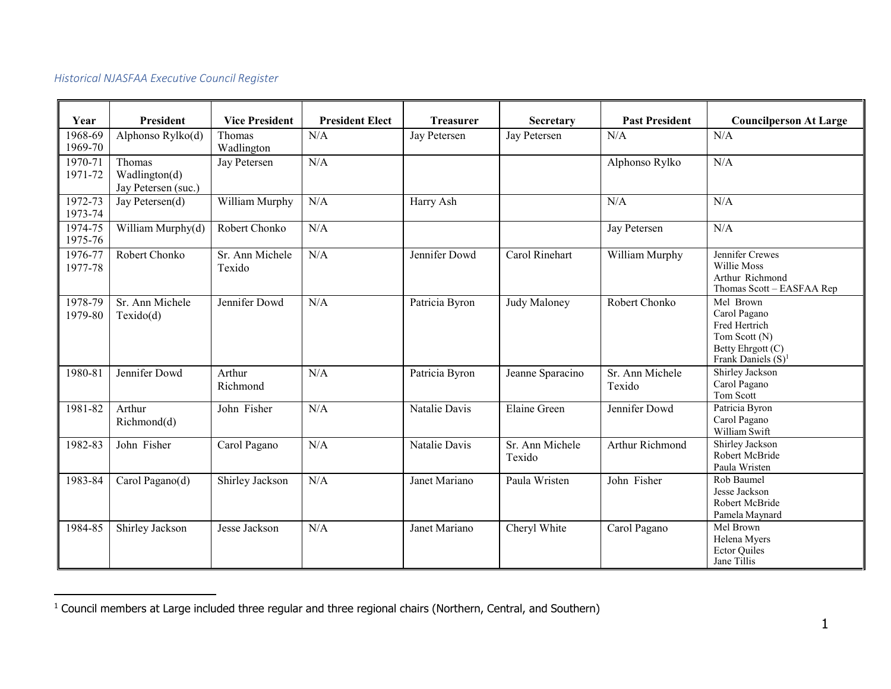## *Historical NJASFAA Executive Council Register*

<span id="page-0-0"></span>

| Year               | President                                      | <b>Vice President</b>     | <b>President Elect</b> | <b>Treasurer</b> | Secretary                 | <b>Past President</b>     | <b>Councilperson At Large</b>                                                                             |
|--------------------|------------------------------------------------|---------------------------|------------------------|------------------|---------------------------|---------------------------|-----------------------------------------------------------------------------------------------------------|
| 1968-69<br>1969-70 | Alphonso Rylko(d)                              | Thomas<br>Wadlington      | N/A                    | Jay Petersen     | Jay Petersen              | N/A                       | N/A                                                                                                       |
| 1970-71<br>1971-72 | Thomas<br>Wadlington(d)<br>Jay Petersen (suc.) | Jay Petersen              | N/A                    |                  |                           | Alphonso Rylko            | N/A                                                                                                       |
| 1972-73<br>1973-74 | Jay Petersen(d)                                | William Murphy            | N/A                    | Harry Ash        |                           | N/A                       | N/A                                                                                                       |
| 1974-75<br>1975-76 | William Murphy(d)                              | Robert Chonko             | N/A                    |                  |                           | Jay Petersen              | N/A                                                                                                       |
| 1976-77<br>1977-78 | Robert Chonko                                  | Sr. Ann Michele<br>Texido | N/A                    | Jennifer Dowd    | Carol Rinehart            | William Murphy            | Jennifer Crewes<br>Willie Moss<br>Arthur Richmond<br>Thomas Scott - EASFAA Rep                            |
| 1978-79<br>1979-80 | Sr. Ann Michele<br>Texido(d)                   | Jennifer Dowd             | N/A                    | Patricia Byron   | Judy Maloney              | Robert Chonko             | Mel Brown<br>Carol Pagano<br>Fred Hertrich<br>Tom Scott (N)<br>Betty Ehrgott (C)<br>Frank Daniels $(S)^1$ |
| 1980-81            | Jennifer Dowd                                  | Arthur<br>Richmond        | N/A                    | Patricia Byron   | Jeanne Sparacino          | Sr. Ann Michele<br>Texido | Shirley Jackson<br>Carol Pagano<br>Tom Scott                                                              |
| 1981-82            | Arthur<br>Richmond(d)                          | John Fisher               | N/A                    | Natalie Davis    | Elaine Green              | Jennifer Dowd             | Patricia Byron<br>Carol Pagano<br>William Swift                                                           |
| 1982-83            | John Fisher                                    | Carol Pagano              | N/A                    | Natalie Davis    | Sr. Ann Michele<br>Texido | Arthur Richmond           | Shirley Jackson<br>Robert McBride<br>Paula Wristen                                                        |
| 1983-84            | Carol Pagano(d)                                | Shirley Jackson           | N/A                    | Janet Mariano    | Paula Wristen             | John Fisher               | Rob Baumel<br>Jesse Jackson<br>Robert McBride<br>Pamela Maynard                                           |
| 1984-85            | Shirley Jackson                                | Jesse Jackson             | N/A                    | Janet Mariano    | Cheryl White              | Carol Pagano              | Mel Brown<br>Helena Myers<br><b>Ector Quiles</b><br>Jane Tillis                                           |

<sup>&</sup>lt;sup>1</sup> Council members at Large included three regular and three regional chairs (Northern, Central, and Southern)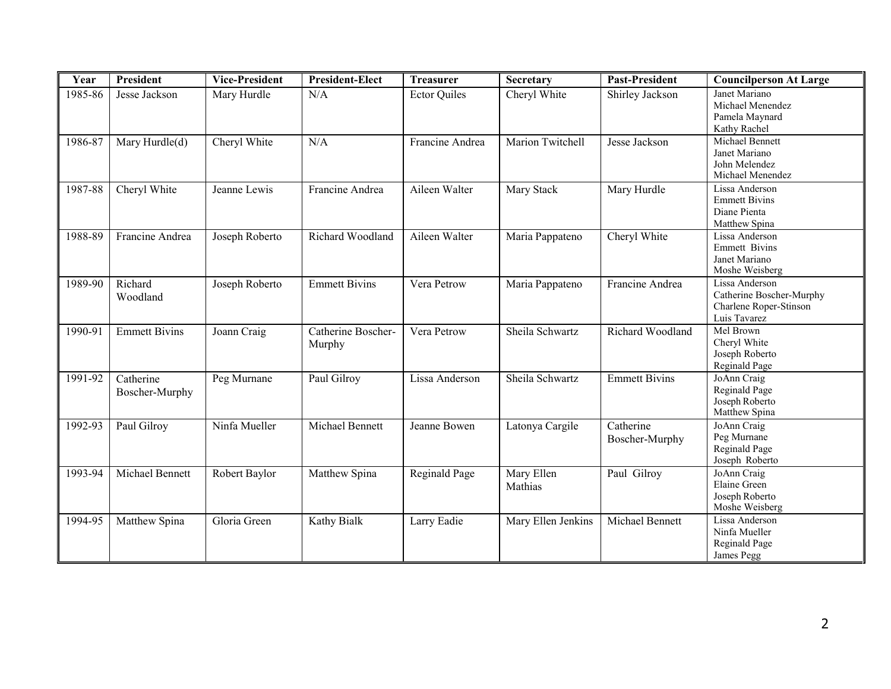| Year    | <b>President</b>            | <b>Vice-President</b> | <b>President-Elect</b>       | <b>Treasurer</b>    | Secretary             | <b>Past-President</b>       | <b>Councilperson At Large</b>                                                        |
|---------|-----------------------------|-----------------------|------------------------------|---------------------|-----------------------|-----------------------------|--------------------------------------------------------------------------------------|
| 1985-86 | Jesse Jackson               | Mary Hurdle           | N/A                          | <b>Ector Quiles</b> | Cheryl White          | Shirley Jackson             | Janet Mariano<br>Michael Menendez<br>Pamela Maynard<br>Kathy Rachel                  |
| 1986-87 | Mary Hurdle(d)              | Cheryl White          | N/A                          | Francine Andrea     | Marion Twitchell      | Jesse Jackson               | Michael Bennett<br>Janet Mariano<br>John Melendez<br>Michael Menendez                |
| 1987-88 | Cheryl White                | Jeanne Lewis          | Francine Andrea              | Aileen Walter       | Mary Stack            | Mary Hurdle                 | Lissa Anderson<br><b>Emmett Bivins</b><br>Diane Pienta<br>Matthew Spina              |
| 1988-89 | Francine Andrea             | Joseph Roberto        | Richard Woodland             | Aileen Walter       | Maria Pappateno       | Cheryl White                | Lissa Anderson<br><b>Emmett Bivins</b><br>Janet Mariano<br>Moshe Weisberg            |
| 1989-90 | Richard<br>Woodland         | Joseph Roberto        | <b>Emmett Bivins</b>         | Vera Petrow         | Maria Pappateno       | Francine Andrea             | Lissa Anderson<br>Catherine Boscher-Murphy<br>Charlene Roper-Stinson<br>Luis Tavarez |
| 1990-91 | <b>Emmett Bivins</b>        | Joann Craig           | Catherine Boscher-<br>Murphy | Vera Petrow         | Sheila Schwartz       | Richard Woodland            | Mel Brown<br>Cheryl White<br>Joseph Roberto<br>Reginald Page                         |
| 1991-92 | Catherine<br>Boscher-Murphy | Peg Murnane           | Paul Gilroy                  | Lissa Anderson      | Sheila Schwartz       | <b>Emmett Bivins</b>        | JoAnn Craig<br>Reginald Page<br>Joseph Roberto<br>Matthew Spina                      |
| 1992-93 | Paul Gilroy                 | Ninfa Mueller         | Michael Bennett              | Jeanne Bowen        | Latonya Cargile       | Catherine<br>Boscher-Murphy | JoAnn Craig<br>Peg Murnane<br>Reginald Page<br>Joseph Roberto                        |
| 1993-94 | Michael Bennett             | Robert Baylor         | Matthew Spina                | Reginald Page       | Mary Ellen<br>Mathias | Paul Gilroy                 | JoAnn Craig<br>Elaine Green<br>Joseph Roberto<br>Moshe Weisberg                      |
| 1994-95 | Matthew Spina               | Gloria Green          | Kathy Bialk                  | Larry Eadie         | Mary Ellen Jenkins    | Michael Bennett             | Lissa Anderson<br>Ninfa Mueller<br>Reginald Page<br>James Pegg                       |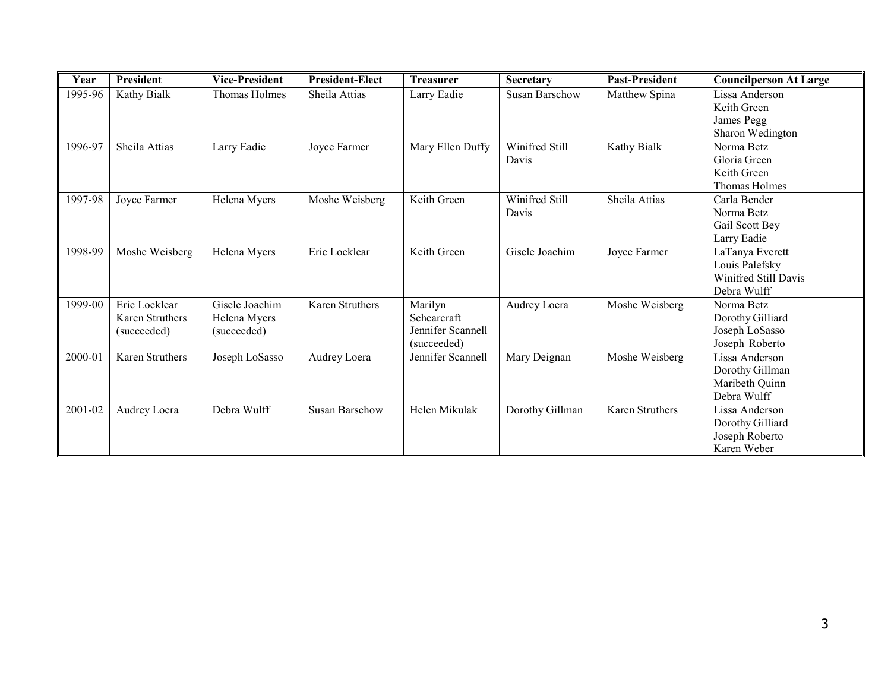| Year    | President                                       | <b>Vice-President</b>                         | <b>President-Elect</b> | <b>Treasurer</b>                                           | Secretary               | <b>Past-President</b> | <b>Councilperson At Large</b>                                            |
|---------|-------------------------------------------------|-----------------------------------------------|------------------------|------------------------------------------------------------|-------------------------|-----------------------|--------------------------------------------------------------------------|
| 1995-96 | Kathy Bialk                                     | Thomas Holmes                                 | Sheila Attias          | Larry Eadie                                                | Susan Barschow          | Matthew Spina         | Lissa Anderson<br>Keith Green<br>James Pegg<br>Sharon Wedington          |
| 1996-97 | Sheila Attias                                   | Larry Eadie                                   | Joyce Farmer           | Mary Ellen Duffy                                           | Winifred Still<br>Davis | Kathy Bialk           | Norma Betz<br>Gloria Green<br>Keith Green<br>Thomas Holmes               |
| 1997-98 | Joyce Farmer                                    | Helena Myers                                  | Moshe Weisberg         | Keith Green                                                | Winifred Still<br>Davis | Sheila Attias         | Carla Bender<br>Norma Betz<br>Gail Scott Bey<br>Larry Eadie              |
| 1998-99 | Moshe Weisberg                                  | Helena Myers                                  | Eric Locklear          | Keith Green                                                | Gisele Joachim          | Joyce Farmer          | LaTanya Everett<br>Louis Palefsky<br>Winifred Still Davis<br>Debra Wulff |
| 1999-00 | Eric Locklear<br>Karen Struthers<br>(succeeded) | Gisele Joachim<br>Helena Myers<br>(succeeded) | <b>Karen Struthers</b> | Marilyn<br>Schearcraft<br>Jennifer Scannell<br>(succeeded) | Audrey Loera            | Moshe Weisberg        | Norma Betz<br>Dorothy Gilliard<br>Joseph LoSasso<br>Joseph Roberto       |
| 2000-01 | Karen Struthers                                 | Joseph LoSasso                                | Audrey Loera           | Jennifer Scannell                                          | Mary Deignan            | Moshe Weisberg        | Lissa Anderson<br>Dorothy Gillman<br>Maribeth Quinn<br>Debra Wulff       |
| 2001-02 | Audrey Loera                                    | Debra Wulff                                   | Susan Barschow         | Helen Mikulak                                              | Dorothy Gillman         | Karen Struthers       | Lissa Anderson<br>Dorothy Gilliard<br>Joseph Roberto<br>Karen Weber      |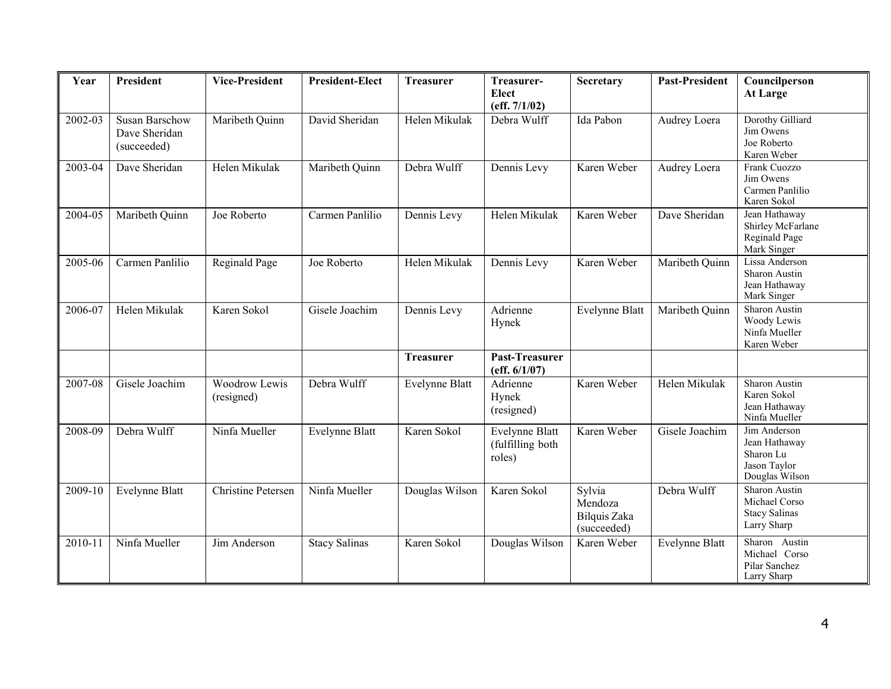| Year    | <b>President</b>                                      | <b>Vice-President</b>       | <b>President-Elect</b> | <b>Treasurer</b>      | Treasurer-<br><b>Elect</b><br>(eff. 7/1/02)         | Secretary                                        | <b>Past-President</b> | Councilperson<br>At Large                                                    |
|---------|-------------------------------------------------------|-----------------------------|------------------------|-----------------------|-----------------------------------------------------|--------------------------------------------------|-----------------------|------------------------------------------------------------------------------|
| 2002-03 | <b>Susan Barschow</b><br>Dave Sheridan<br>(succeeded) | Maribeth Quinn              | David Sheridan         | Helen Mikulak         | Debra Wulff                                         | Ida Pabon                                        | Audrey Loera          | Dorothy Gilliard<br>Jim Owens<br>Joe Roberto<br>Karen Weber                  |
| 2003-04 | Dave Sheridan                                         | Helen Mikulak               | Maribeth Quinn         | Debra Wulff           | Dennis Levy                                         | Karen Weber                                      | Audrey Loera          | Frank Cuozzo<br>Jim Owens<br>Carmen Panlilio<br>Karen Sokol                  |
| 2004-05 | Maribeth Quinn                                        | Joe Roberto                 | Carmen Panlilio        | Dennis Levy           | Helen Mikulak                                       | Karen Weber                                      | Dave Sheridan         | Jean Hathaway<br>Shirley McFarlane<br>Reginald Page<br>Mark Singer           |
| 2005-06 | Carmen Panlilio                                       | Reginald Page               | Joe Roberto            | Helen Mikulak         | Dennis Levy                                         | Karen Weber                                      | Maribeth Quinn        | Lissa Anderson<br>Sharon Austin<br>Jean Hathaway<br>Mark Singer              |
| 2006-07 | Helen Mikulak                                         | Karen Sokol                 | Gisele Joachim         | Dennis Levy           | Adrienne<br>Hynek                                   | Evelynne Blatt                                   | Maribeth Quinn        | Sharon Austin<br>Woody Lewis<br>Ninfa Mueller<br>Karen Weber                 |
|         |                                                       |                             |                        | <b>Treasurer</b>      | Past-Treasurer<br>(eff. 6/1/07)                     |                                                  |                       |                                                                              |
| 2007-08 | Gisele Joachim                                        | Woodrow Lewis<br>(resigned) | Debra Wulff            | <b>Evelynne Blatt</b> | Adrienne<br>Hynek<br>(resigned)                     | Karen Weber                                      | Helen Mikulak         | Sharon Austin<br>Karen Sokol<br>Jean Hathaway<br>Ninfa Mueller               |
| 2008-09 | Debra Wulff                                           | Ninfa Mueller               | <b>Evelynne Blatt</b>  | Karen Sokol           | <b>Evelynne Blatt</b><br>(fulfilling both<br>roles) | Karen Weber                                      | Gisele Joachim        | Jim Anderson<br>Jean Hathaway<br>Sharon Lu<br>Jason Taylor<br>Douglas Wilson |
| 2009-10 | <b>Evelynne Blatt</b>                                 | <b>Christine Petersen</b>   | Ninfa Mueller          | Douglas Wilson        | Karen Sokol                                         | Sylvia<br>Mendoza<br>Bilquis Zaka<br>(succeeded) | Debra Wulff           | Sharon Austin<br>Michael Corso<br><b>Stacy Salinas</b><br>Larry Sharp        |
| 2010-11 | Ninfa Mueller                                         | Jim Anderson                | <b>Stacy Salinas</b>   | Karen Sokol           | Douglas Wilson                                      | Karen Weber                                      | Evelynne Blatt        | Sharon Austin<br>Michael Corso<br>Pilar Sanchez<br>Larry Sharp               |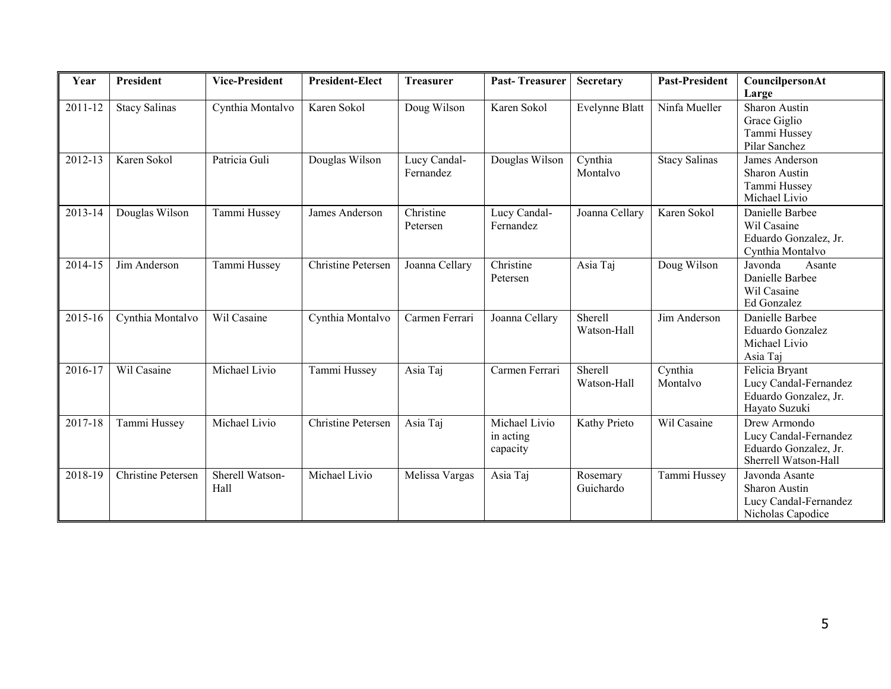| Year    | <b>President</b>     | <b>Vice-President</b>   | <b>President-Elect</b> | <b>Treasurer</b>          | <b>Past-Treasurer</b>                  | Secretary              | <b>Past-President</b> | CouncilpersonAt<br>Large                                                               |
|---------|----------------------|-------------------------|------------------------|---------------------------|----------------------------------------|------------------------|-----------------------|----------------------------------------------------------------------------------------|
| 2011-12 | <b>Stacy Salinas</b> | Cynthia Montalvo        | Karen Sokol            | Doug Wilson               | Karen Sokol                            | <b>Evelynne Blatt</b>  | Ninfa Mueller         | Sharon Austin<br>Grace Giglio<br>Tammi Hussey<br>Pilar Sanchez                         |
| 2012-13 | Karen Sokol          | Patricia Guli           | Douglas Wilson         | Lucy Candal-<br>Fernandez | Douglas Wilson                         | Cynthia<br>Montalvo    | <b>Stacy Salinas</b>  | James Anderson<br>Sharon Austin<br>Tammi Hussey<br>Michael Livio                       |
| 2013-14 | Douglas Wilson       | Tammi Hussey            | James Anderson         | Christine<br>Petersen     | Lucy Candal-<br>Fernandez              | Joanna Cellary         | Karen Sokol           | Danielle Barbee<br>Wil Casaine<br>Eduardo Gonzalez, Jr.<br>Cynthia Montalvo            |
| 2014-15 | Jim Anderson         | Tammi Hussey            | Christine Petersen     | Joanna Cellary            | Christine<br>Petersen                  | Asia Taj               | Doug Wilson           | Javonda<br>Asante<br>Danielle Barbee<br>Wil Casaine<br>Ed Gonzalez                     |
| 2015-16 | Cynthia Montalvo     | Wil Casaine             | Cynthia Montalvo       | Carmen Ferrari            | Joanna Cellary                         | Sherell<br>Watson-Hall | Jim Anderson          | Danielle Barbee<br>Eduardo Gonzalez<br>Michael Livio<br>Asia Taj                       |
| 2016-17 | Wil Casaine          | Michael Livio           | Tammi Hussey           | Asia Taj                  | Carmen Ferrari                         | Sherell<br>Watson-Hall | Cynthia<br>Montalvo   | Felicia Bryant<br>Lucy Candal-Fernandez<br>Eduardo Gonzalez, Jr.<br>Hayato Suzuki      |
| 2017-18 | Tammi Hussey         | Michael Livio           | Christine Petersen     | Asia Taj                  | Michael Livio<br>in acting<br>capacity | Kathy Prieto           | Wil Casaine           | Drew Armondo<br>Lucy Candal-Fernandez<br>Eduardo Gonzalez, Jr.<br>Sherrell Watson-Hall |
| 2018-19 | Christine Petersen   | Sherell Watson-<br>Hall | Michael Livio          | Melissa Vargas            | Asia Taj                               | Rosemary<br>Guichardo  | Tammi Hussey          | Javonda Asante<br>Sharon Austin<br>Lucy Candal-Fernandez<br>Nicholas Capodice          |